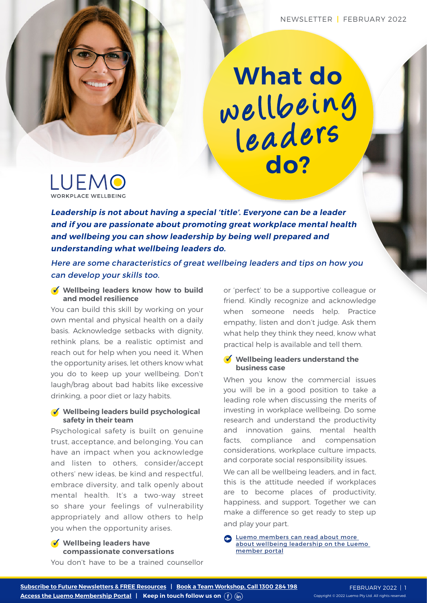### **What do do?** wellbeing leaders



**Leadership is not about having a special 'title'. Everyone can be a leader and if you are passionate about promoting great workplace mental health and wellbeing you can show leadership by being well prepared and understanding what wellbeing leaders do.** 

Here are some characteristics of great wellbeing leaders and tips on how you can develop your skills too.

#### **Wellbeing leaders know how to build and model resilience**

You can build this skill by working on your own mental and physical health on a daily basis. Acknowledge setbacks with dignity, rethink plans, be a realistic optimist and reach out for help when you need it. When the opportunity arises, let others know what you do to keep up your wellbeing. Don't laugh/brag about bad habits like excessive drinking, a poor diet or lazy habits.

#### **Wellbeing leaders build psychological safety in their team**

Psychological safety is built on genuine trust, acceptance, and belonging. You can have an impact when you acknowledge and listen to others, consider/accept others' new ideas, be kind and respectful, embrace diversity, and talk openly about mental health. It's a two-way street so share your feelings of vulnerability appropriately and allow others to help you when the opportunity arises.

#### **Wellbeing leaders have compassionate conversations**

You don't have to be a trained counsellor

or 'perfect' to be a supportive colleague or friend. Kindly recognize and acknowledge when someone needs help. Practice empathy, listen and don't judge. Ask them what help they think they need, know what practical help is available and tell them.

#### **Wellbeing leaders understand the business case**

When you know the commercial issues you will be in a good position to take a leading role when discussing the merits of investing in workplace wellbeing. Do some research and understand the productivity and innovation gains, mental health facts, compliance and compensation considerations, workplace culture impacts, and corporate social responsibility issues.

We can all be wellbeing leaders, and in fact, this is the attitude needed if workplaces are to become places of productivity, happiness, and support. Together we can make a difference so get ready to step up and play your part.

**S** Luemo members can read about more [about wellbeing leadership on the Luemo](https://luemo.com.au/portal-resources/for-managers/)  [member portal](https://luemo.com.au/portal-resources/for-managers/)